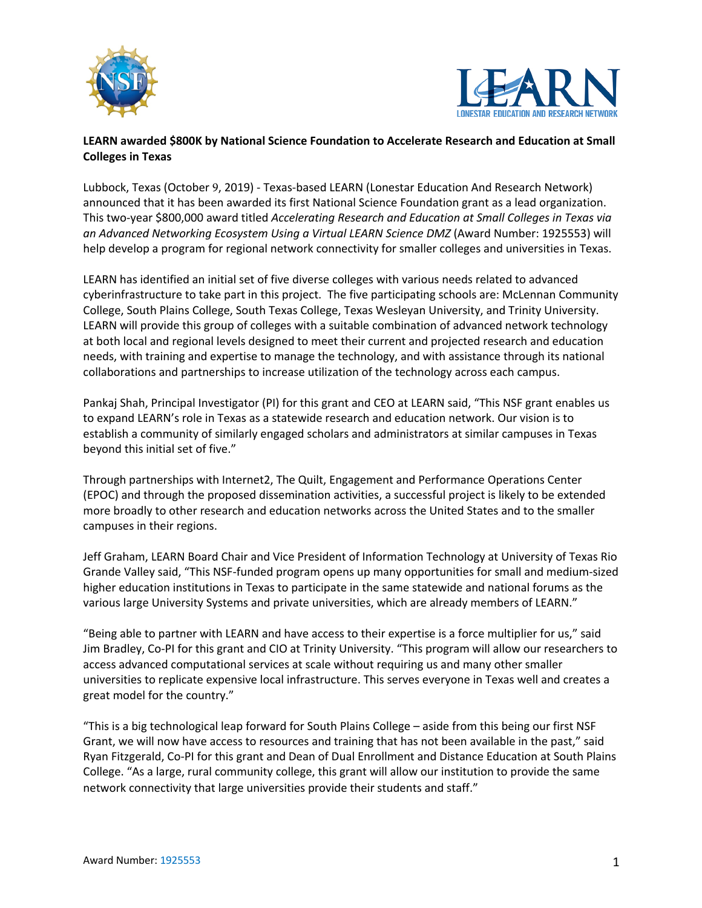



## **LEARN awarded \$800K by National Science Foundation to Accelerate Research and Education at Small Colleges in Texas**

Lubbock, Texas (October 9, 2019) - Texas-based LEARN (Lonestar Education And Research Network) announced that it has been awarded its first National Science Foundation grant as a lead organization. This two-year \$800,000 award titled *Accelerating Research and Education at Small Colleges in Texas via an Advanced Networking Ecosystem Using a Virtual LEARN Science DMZ* (Award Number: 1925553) will help develop a program for regional network connectivity for smaller colleges and universities in Texas.

LEARN has identified an initial set of five diverse colleges with various needs related to advanced cyberinfrastructure to take part in this project. The five participating schools are: McLennan Community College, South Plains College, South Texas College, Texas Wesleyan University, and Trinity University. LEARN will provide this group of colleges with a suitable combination of advanced network technology at both local and regional levels designed to meet their current and projected research and education needs, with training and expertise to manage the technology, and with assistance through its national collaborations and partnerships to increase utilization of the technology across each campus.

Pankaj Shah, Principal Investigator (PI) for this grant and CEO at LEARN said, "This NSF grant enables us to expand LEARN's role in Texas as a statewide research and education network. Our vision is to establish a community of similarly engaged scholars and administrators at similar campuses in Texas beyond this initial set of five."

Through partnerships with Internet2, The Quilt, Engagement and Performance Operations Center (EPOC) and through the proposed dissemination activities, a successful project is likely to be extended more broadly to other research and education networks across the United States and to the smaller campuses in their regions.

Jeff Graham, LEARN Board Chair and Vice President of Information Technology at University of Texas Rio Grande Valley said, "This NSF-funded program opens up many opportunities for small and medium-sized higher education institutions in Texas to participate in the same statewide and national forums as the various large University Systems and private universities, which are already members of LEARN."

"Being able to partner with LEARN and have access to their expertise is a force multiplier for us," said Jim Bradley, Co-PI for this grant and CIO at Trinity University. "This program will allow our researchers to access advanced computational services at scale without requiring us and many other smaller universities to replicate expensive local infrastructure. This serves everyone in Texas well and creates a great model for the country."

"This is a big technological leap forward for South Plains College – aside from this being our first NSF Grant, we will now have access to resources and training that has not been available in the past," said Ryan Fitzgerald, Co-PI for this grant and Dean of Dual Enrollment and Distance Education at South Plains College. "As a large, rural community college, this grant will allow our institution to provide the same network connectivity that large universities provide their students and staff."